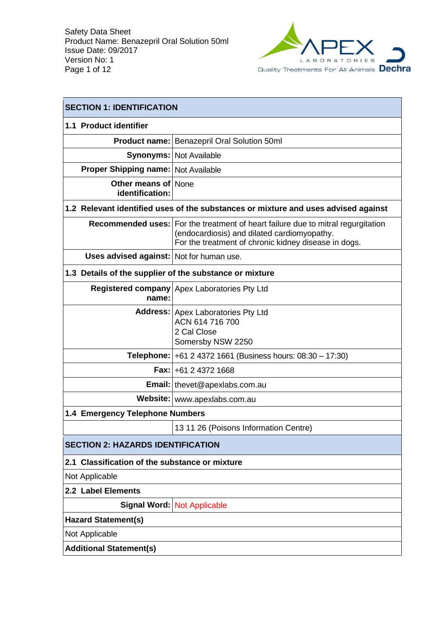

| <b>SECTION 1: IDENTIFICATION</b>                        |                                                                                                                                                                                           |  |
|---------------------------------------------------------|-------------------------------------------------------------------------------------------------------------------------------------------------------------------------------------------|--|
| 1.1 Product identifier                                  |                                                                                                                                                                                           |  |
|                                                         | <b>Product name: Benazepril Oral Solution 50ml</b>                                                                                                                                        |  |
|                                                         | <b>Synonyms: Not Available</b>                                                                                                                                                            |  |
| <b>Proper Shipping name: Not Available</b>              |                                                                                                                                                                                           |  |
| <b>Other means of None</b><br>identification:           |                                                                                                                                                                                           |  |
|                                                         | 1.2 Relevant identified uses of the substances or mixture and uses advised against                                                                                                        |  |
|                                                         | Recommended uses:   For the treatment of heart failure due to mitral regurgitation<br>(endocardiosis) and dilated cardiomyopathy.<br>For the treatment of chronic kidney disease in dogs. |  |
| Uses advised against: Not for human use.                |                                                                                                                                                                                           |  |
| 1.3 Details of the supplier of the substance or mixture |                                                                                                                                                                                           |  |
| name:                                                   | Registered company Apex Laboratories Pty Ltd                                                                                                                                              |  |
|                                                         | Address: Apex Laboratories Pty Ltd<br>ACN 614 716 700<br>2 Cal Close<br>Somersby NSW 2250                                                                                                 |  |
|                                                         | <b>Telephone:</b> $+61 2 4372 1661$ (Business hours: $08:30 - 17:30$ )                                                                                                                    |  |
|                                                         | <b>Fax: +61 2 4372 1668</b>                                                                                                                                                               |  |
|                                                         | Email:   thevet@apexlabs.com.au                                                                                                                                                           |  |
|                                                         | Website:   www.apexlabs.com.au                                                                                                                                                            |  |
| 1.4 Emergency Telephone Numbers                         |                                                                                                                                                                                           |  |
|                                                         | 13 11 26 (Poisons Information Centre)                                                                                                                                                     |  |
| <b>SECTION 2: HAZARDS IDENTIFICATION</b>                |                                                                                                                                                                                           |  |
| 2.1 Classification of the substance or mixture          |                                                                                                                                                                                           |  |
| Not Applicable                                          |                                                                                                                                                                                           |  |
| 2.2 Label Elements                                      |                                                                                                                                                                                           |  |
|                                                         | Signal Word: Not Applicable                                                                                                                                                               |  |
| <b>Hazard Statement(s)</b>                              |                                                                                                                                                                                           |  |
| Not Applicable                                          |                                                                                                                                                                                           |  |
| <b>Additional Statement(s)</b>                          |                                                                                                                                                                                           |  |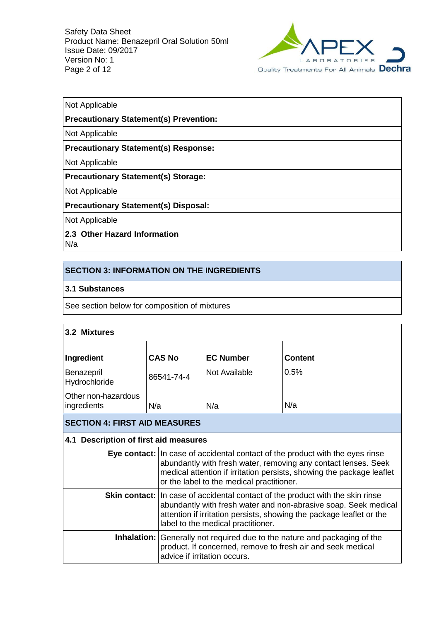

#### Not Applicable

#### **Precautionary Statement(s) Prevention:**

Not Applicable

#### **Precautionary Statement(s) Response:**

Not Applicable

#### **Precautionary Statement(s) Storage:**

Not Applicable

### **Precautionary Statement(s) Disposal:**

Not Applicable

# **2.3 Other Hazard Information**

N/a

# **SECTION 3: INFORMATION ON THE INGREDIENTS**

#### **3.1 Substances**

See section below for composition of mixtures

| 3.2 Mixtures                                                                                                                                                                    |                                                                                                                                                                                                                                                                       |                                                                                                                                                                                                                                                                   |                |  |
|---------------------------------------------------------------------------------------------------------------------------------------------------------------------------------|-----------------------------------------------------------------------------------------------------------------------------------------------------------------------------------------------------------------------------------------------------------------------|-------------------------------------------------------------------------------------------------------------------------------------------------------------------------------------------------------------------------------------------------------------------|----------------|--|
| Ingredient                                                                                                                                                                      | <b>CAS No</b>                                                                                                                                                                                                                                                         | <b>EC Number</b>                                                                                                                                                                                                                                                  | <b>Content</b> |  |
| Benazepril<br>Hydrochloride                                                                                                                                                     | 86541-74-4                                                                                                                                                                                                                                                            | Not Available                                                                                                                                                                                                                                                     | 0.5%           |  |
| Other non-hazardous<br>ingredients                                                                                                                                              | N/a                                                                                                                                                                                                                                                                   | N/a                                                                                                                                                                                                                                                               | N/a            |  |
| <b>SECTION 4: FIRST AID MEASURES</b>                                                                                                                                            |                                                                                                                                                                                                                                                                       |                                                                                                                                                                                                                                                                   |                |  |
| 4.1 Description of first aid measures                                                                                                                                           |                                                                                                                                                                                                                                                                       |                                                                                                                                                                                                                                                                   |                |  |
|                                                                                                                                                                                 | Eye contact: In case of accidental contact of the product with the eyes rinse<br>abundantly with fresh water, removing any contact lenses. Seek<br>medical attention if irritation persists, showing the package leaflet<br>or the label to the medical practitioner. |                                                                                                                                                                                                                                                                   |                |  |
|                                                                                                                                                                                 |                                                                                                                                                                                                                                                                       | Skin contact:   In case of accidental contact of the product with the skin rinse<br>abundantly with fresh water and non-abrasive soap. Seek medical<br>attention if irritation persists, showing the package leaflet or the<br>label to the medical practitioner. |                |  |
| <b>Inhalation:</b> Generally not required due to the nature and packaging of the<br>product. If concerned, remove to fresh air and seek medical<br>advice if irritation occurs. |                                                                                                                                                                                                                                                                       |                                                                                                                                                                                                                                                                   |                |  |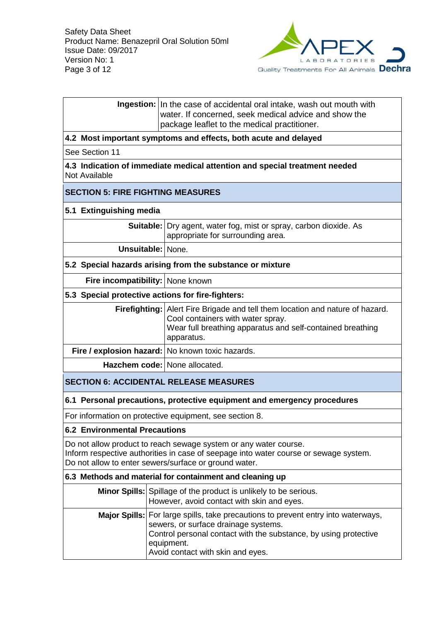

|                                                                                                                                                                                                                   | <b>Ingestion:</b> In the case of accidental oral intake, wash out mouth with<br>water. If concerned, seek medical advice and show the<br>package leaflet to the medical practitioner.                                                                   |  |
|-------------------------------------------------------------------------------------------------------------------------------------------------------------------------------------------------------------------|---------------------------------------------------------------------------------------------------------------------------------------------------------------------------------------------------------------------------------------------------------|--|
|                                                                                                                                                                                                                   | 4.2 Most important symptoms and effects, both acute and delayed                                                                                                                                                                                         |  |
| See Section 11                                                                                                                                                                                                    |                                                                                                                                                                                                                                                         |  |
| Not Available                                                                                                                                                                                                     | 4.3 Indication of immediate medical attention and special treatment needed                                                                                                                                                                              |  |
| <b>SECTION 5: FIRE FIGHTING MEASURES</b>                                                                                                                                                                          |                                                                                                                                                                                                                                                         |  |
| 5.1 Extinguishing media                                                                                                                                                                                           |                                                                                                                                                                                                                                                         |  |
|                                                                                                                                                                                                                   | <b>Suitable:</b> Dry agent, water fog, mist or spray, carbon dioxide. As<br>appropriate for surrounding area.                                                                                                                                           |  |
| <b>Unsuitable: None.</b>                                                                                                                                                                                          |                                                                                                                                                                                                                                                         |  |
|                                                                                                                                                                                                                   | 5.2 Special hazards arising from the substance or mixture                                                                                                                                                                                               |  |
| Fire incompatibility: None known                                                                                                                                                                                  |                                                                                                                                                                                                                                                         |  |
| 5.3 Special protective actions for fire-fighters:                                                                                                                                                                 |                                                                                                                                                                                                                                                         |  |
|                                                                                                                                                                                                                   | <b>Firefighting:</b> Alert Fire Brigade and tell them location and nature of hazard.<br>Cool containers with water spray.<br>Wear full breathing apparatus and self-contained breathing<br>apparatus.                                                   |  |
| Fire / explosion hazard: No known toxic hazards.                                                                                                                                                                  |                                                                                                                                                                                                                                                         |  |
|                                                                                                                                                                                                                   | Hazchem code: None allocated.                                                                                                                                                                                                                           |  |
|                                                                                                                                                                                                                   | <b>SECTION 6: ACCIDENTAL RELEASE MEASURES</b>                                                                                                                                                                                                           |  |
|                                                                                                                                                                                                                   | 6.1 Personal precautions, protective equipment and emergency procedures                                                                                                                                                                                 |  |
|                                                                                                                                                                                                                   | For information on protective equipment, see section 8.                                                                                                                                                                                                 |  |
| <b>6.2 Environmental Precautions</b>                                                                                                                                                                              |                                                                                                                                                                                                                                                         |  |
| Do not allow product to reach sewage system or any water course.<br>Inform respective authorities in case of seepage into water course or sewage system.<br>Do not allow to enter sewers/surface or ground water. |                                                                                                                                                                                                                                                         |  |
|                                                                                                                                                                                                                   | 6.3 Methods and material for containment and cleaning up                                                                                                                                                                                                |  |
|                                                                                                                                                                                                                   | Minor Spills: Spillage of the product is unlikely to be serious.<br>However, avoid contact with skin and eyes.                                                                                                                                          |  |
|                                                                                                                                                                                                                   | <b>Major Spills:</b> For large spills, take precautions to prevent entry into waterways,<br>sewers, or surface drainage systems.<br>Control personal contact with the substance, by using protective<br>equipment.<br>Avoid contact with skin and eyes. |  |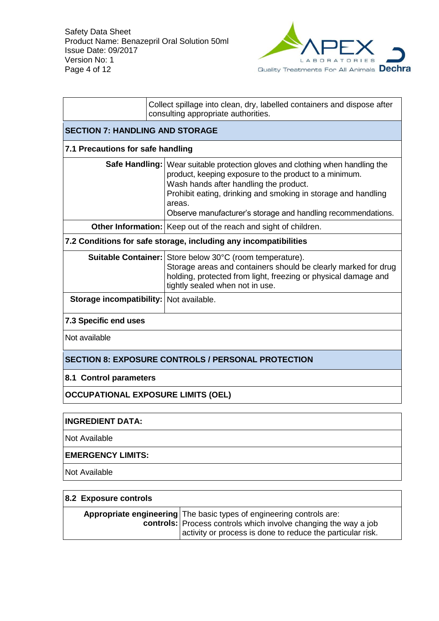

|                                                           | Collect spillage into clean, dry, labelled containers and dispose after<br>consulting appropriate authorities.                                                                                                                                                                                                                 |  |  |
|-----------------------------------------------------------|--------------------------------------------------------------------------------------------------------------------------------------------------------------------------------------------------------------------------------------------------------------------------------------------------------------------------------|--|--|
| <b>SECTION 7: HANDLING AND STORAGE</b>                    |                                                                                                                                                                                                                                                                                                                                |  |  |
|                                                           | 7.1 Precautions for safe handling                                                                                                                                                                                                                                                                                              |  |  |
|                                                           | Safe Handling:   Wear suitable protection gloves and clothing when handling the<br>product, keeping exposure to the product to a minimum.<br>Wash hands after handling the product.<br>Prohibit eating, drinking and smoking in storage and handling<br>areas.<br>Observe manufacturer's storage and handling recommendations. |  |  |
|                                                           | Other Information: Keep out of the reach and sight of children.                                                                                                                                                                                                                                                                |  |  |
|                                                           | 7.2 Conditions for safe storage, including any incompatibilities                                                                                                                                                                                                                                                               |  |  |
|                                                           | Suitable Container: Store below 30°C (room temperature).<br>Storage areas and containers should be clearly marked for drug<br>holding, protected from light, freezing or physical damage and<br>tightly sealed when not in use.                                                                                                |  |  |
| Storage incompatibility: Not available.                   |                                                                                                                                                                                                                                                                                                                                |  |  |
| 7.3 Specific end uses                                     |                                                                                                                                                                                                                                                                                                                                |  |  |
| Not available                                             |                                                                                                                                                                                                                                                                                                                                |  |  |
| <b>SECTION 8: EXPOSURE CONTROLS / PERSONAL PROTECTION</b> |                                                                                                                                                                                                                                                                                                                                |  |  |
| 8.1 Control parameters                                    |                                                                                                                                                                                                                                                                                                                                |  |  |
| <b>OCCUPATIONAL EXPOSURE LIMITS (OEL)</b>                 |                                                                                                                                                                                                                                                                                                                                |  |  |

# **INGREDIENT DATA:**

Not Available

# **EMERGENCY LIMITS:**

Not Available

| 8.2 Exposure controls |                                                                                                                                                                                                              |  |
|-----------------------|--------------------------------------------------------------------------------------------------------------------------------------------------------------------------------------------------------------|--|
|                       | <b>Appropriate engineering</b> The basic types of engineering controls are:<br>controls: Process controls which involve changing the way a job<br>activity or process is done to reduce the particular risk. |  |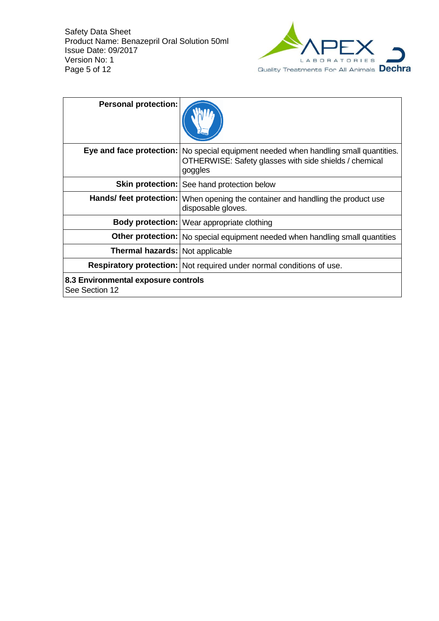

| <b>Personal protection:</b>                           |                                                                                                                                  |
|-------------------------------------------------------|----------------------------------------------------------------------------------------------------------------------------------|
| Eye and face protection:                              | No special equipment needed when handling small quantities.<br>OTHERWISE: Safety glasses with side shields / chemical<br>goggles |
|                                                       | <b>Skin protection:   See hand protection below</b>                                                                              |
|                                                       | Hands/ feet protection:   When opening the container and handling the product use<br>disposable gloves.                          |
|                                                       | Body protection:   Wear appropriate clothing                                                                                     |
|                                                       | Other protection: No special equipment needed when handling small quantities                                                     |
| Thermal hazards: Not applicable                       |                                                                                                                                  |
|                                                       | Respiratory protection:   Not required under normal conditions of use.                                                           |
| 8.3 Environmental exposure controls<br>See Section 12 |                                                                                                                                  |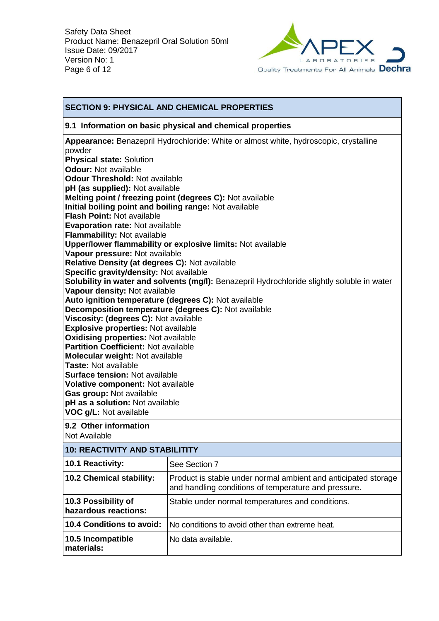

## **SECTION 9: PHYSICAL AND CHEMICAL PROPERTIES**

#### **9.1 Information on basic physical and chemical properties**

**Appearance:** Benazepril Hydrochloride: White or almost white, hydroscopic, crystalline powder **Physical state:** Solution **Odour:** Not available **Odour Threshold:** Not available **pH (as supplied):** Not available **Melting point / freezing point (degrees C):** Not available **Initial boiling point and boiling range:** Not available **Flash Point:** Not available **Evaporation rate:** Not available **Flammability:** Not available **Upper/lower flammability or explosive limits:** Not available **Vapour pressure:** Not available **Relative Density (at degrees C):** Not available **Specific gravity/density:** Not available **Solubility in water and solvents (mg/l):** Benazepril Hydrochloride slightly soluble in water **Vapour density:** Not available **Auto ignition temperature (degrees C):** Not available **Decomposition temperature (degrees C):** Not available **Viscosity: (degrees C):** Not available **Explosive properties:** Not available **Oxidising properties:** Not available **Partition Coefficient:** Not available **Molecular weight:** Not available **Taste:** Not available **Surface tension:** Not available **Volative component:** Not available **Gas group:** Not available **pH as a solution:** Not available **VOC g/L:** Not available **9.2 Other information**

Not Available

| <b>10: REACTIVITY AND STABILITITY</b>       |                                                                                                                        |  |
|---------------------------------------------|------------------------------------------------------------------------------------------------------------------------|--|
| 10.1 Reactivity:                            | See Section 7                                                                                                          |  |
| 10.2 Chemical stability:                    | Product is stable under normal ambient and anticipated storage<br>and handling conditions of temperature and pressure. |  |
| 10.3 Possibility of<br>hazardous reactions: | Stable under normal temperatures and conditions.                                                                       |  |
| <b>10.4 Conditions to avoid:</b>            | No conditions to avoid other than extreme heat.                                                                        |  |
| 10.5 Incompatible<br>materials:             | No data available.                                                                                                     |  |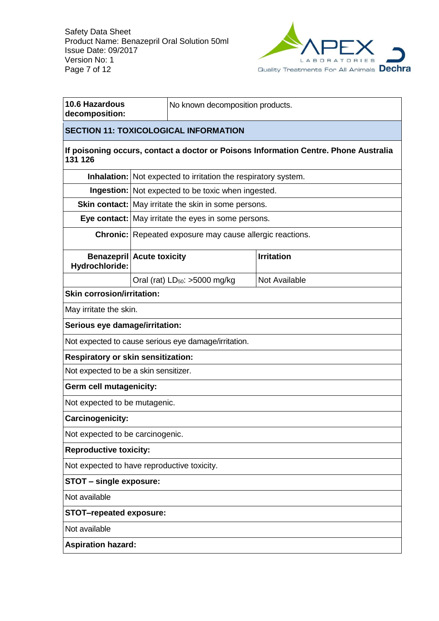

| 10.6 Hazardous<br>decomposition:                   | No known decomposition products. |                                                                       |                                                                                      |  |
|----------------------------------------------------|----------------------------------|-----------------------------------------------------------------------|--------------------------------------------------------------------------------------|--|
| <b>SECTION 11: TOXICOLOGICAL INFORMATION</b>       |                                  |                                                                       |                                                                                      |  |
| 131 126                                            |                                  |                                                                       | If poisoning occurs, contact a doctor or Poisons Information Centre. Phone Australia |  |
|                                                    |                                  | <b>Inhalation:</b> Not expected to irritation the respiratory system. |                                                                                      |  |
|                                                    |                                  | Ingestion: Not expected to be toxic when ingested.                    |                                                                                      |  |
|                                                    |                                  | Skin contact:   May irritate the skin in some persons.                |                                                                                      |  |
|                                                    |                                  | Eye contact: May irritate the eyes in some persons.                   |                                                                                      |  |
|                                                    |                                  | Chronic: Repeated exposure may cause allergic reactions.              |                                                                                      |  |
| <b>Benazepril Acute toxicity</b><br>Hydrochloride: |                                  |                                                                       | <b>Irritation</b>                                                                    |  |
|                                                    |                                  | Oral (rat) $LD_{50}$ : >5000 mg/kg                                    | <b>Not Available</b>                                                                 |  |
| <b>Skin corrosion/irritation:</b>                  |                                  |                                                                       |                                                                                      |  |
| May irritate the skin.                             |                                  |                                                                       |                                                                                      |  |
| Serious eye damage/irritation:                     |                                  |                                                                       |                                                                                      |  |
|                                                    |                                  | Not expected to cause serious eye damage/irritation.                  |                                                                                      |  |
| <b>Respiratory or skin sensitization:</b>          |                                  |                                                                       |                                                                                      |  |
| Not expected to be a skin sensitizer.              |                                  |                                                                       |                                                                                      |  |
| Germ cell mutagenicity:                            |                                  |                                                                       |                                                                                      |  |
| Not expected to be mutagenic.                      |                                  |                                                                       |                                                                                      |  |
| Carcinogenicity:                                   |                                  |                                                                       |                                                                                      |  |
| Not expected to be carcinogenic.                   |                                  |                                                                       |                                                                                      |  |
| <b>Reproductive toxicity:</b>                      |                                  |                                                                       |                                                                                      |  |
| Not expected to have reproductive toxicity.        |                                  |                                                                       |                                                                                      |  |
| <b>STOT - single exposure:</b>                     |                                  |                                                                       |                                                                                      |  |
| Not available                                      |                                  |                                                                       |                                                                                      |  |
| <b>STOT-repeated exposure:</b>                     |                                  |                                                                       |                                                                                      |  |
| Not available                                      |                                  |                                                                       |                                                                                      |  |
| <b>Aspiration hazard:</b>                          |                                  |                                                                       |                                                                                      |  |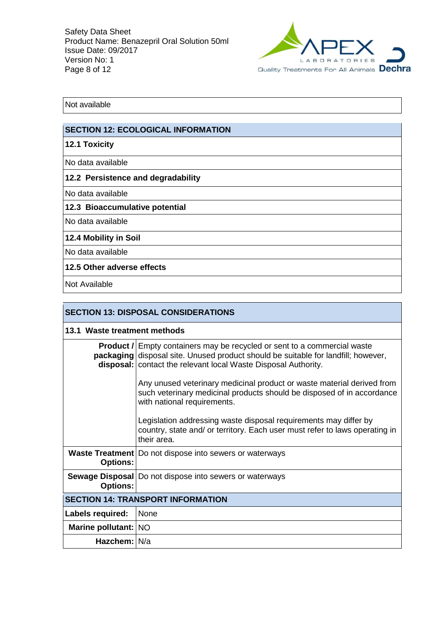

Not available

# **SECTION 12: ECOLOGICAL INFORMATION**

# **12.1 Toxicity**

No data available

### **12.2 Persistence and degradability**

No data available

### **12.3 Bioaccumulative potential**

No data available

## **12.4 Mobility in Soil**

No data available

## **12.5 Other adverse effects**

Not Available

| <b>SECTION 13: DISPOSAL CONSIDERATIONS</b> |                                                                                                                                                                                                                                                 |  |
|--------------------------------------------|-------------------------------------------------------------------------------------------------------------------------------------------------------------------------------------------------------------------------------------------------|--|
| 13.1 Waste treatment methods               |                                                                                                                                                                                                                                                 |  |
|                                            | <b>Product /</b> Empty containers may be recycled or sent to a commercial waste<br><b>packaging</b> disposal site. Unused product should be suitable for landfill; however,<br>disposal:   contact the relevant local Waste Disposal Authority. |  |
|                                            | Any unused veterinary medicinal product or waste material derived from<br>such veterinary medicinal products should be disposed of in accordance<br>with national requirements.                                                                 |  |
|                                            | Legislation addressing waste disposal requirements may differ by<br>country, state and/ or territory. Each user must refer to laws operating in<br>their area.                                                                                  |  |
| <b>Options:</b>                            | Waste Treatment   Do not dispose into sewers or waterways                                                                                                                                                                                       |  |
| <b>Options:</b>                            | Sewage Disposal   Do not dispose into sewers or waterways                                                                                                                                                                                       |  |
| <b>SECTION 14: TRANSPORT INFORMATION</b>   |                                                                                                                                                                                                                                                 |  |
| Labels required:                           | None                                                                                                                                                                                                                                            |  |
| Marine pollutant: NO                       |                                                                                                                                                                                                                                                 |  |
| Hazchem: N/a                               |                                                                                                                                                                                                                                                 |  |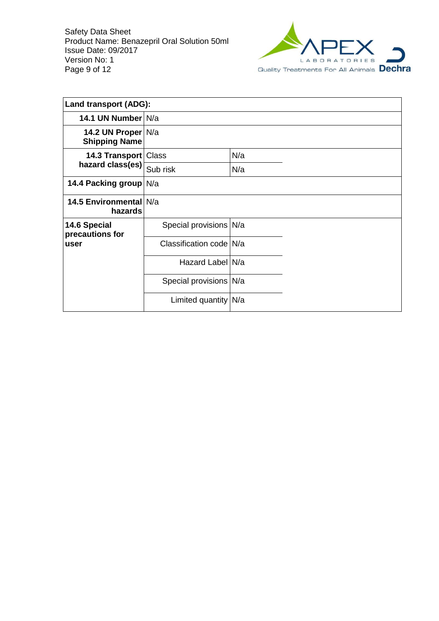

| <b>Land transport (ADG):</b>               |                          |     |  |  |
|--------------------------------------------|--------------------------|-----|--|--|
| 14.1 UN Number N/a                         |                          |     |  |  |
| 14.2 UN Proper N/a<br><b>Shipping Name</b> |                          |     |  |  |
| 14.3 Transport   Class                     |                          | N/a |  |  |
| hazard class(es)                           | Sub risk                 | N/a |  |  |
| 14.4 Packing group N/a                     |                          |     |  |  |
| 14.5 Environmental N/a<br>hazards          |                          |     |  |  |
| 14.6 Special<br>precautions for            | Special provisions   N/a |     |  |  |
| user                                       | Classification code N/a  |     |  |  |
|                                            | Hazard Label N/a         |     |  |  |
|                                            | Special provisions N/a   |     |  |  |
|                                            | Limited quantity   N/a   |     |  |  |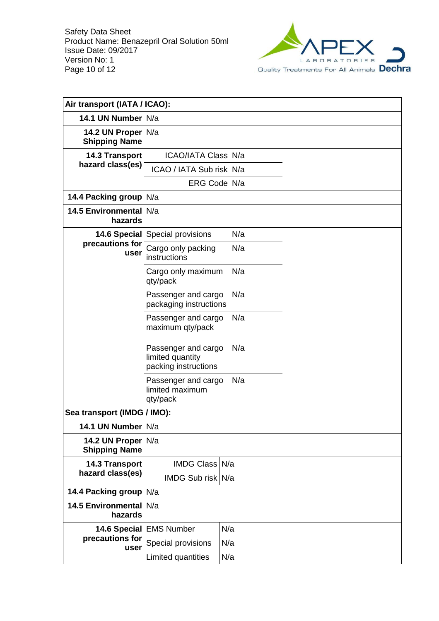

| Air transport (IATA / ICAO):               |                                                                 |     |  |
|--------------------------------------------|-----------------------------------------------------------------|-----|--|
| 14.1 UN Number N/a                         |                                                                 |     |  |
| 14.2 UN Proper N/a<br><b>Shipping Name</b> |                                                                 |     |  |
| <b>14.3 Transport</b>                      | ICAO/IATA Class N/a                                             |     |  |
| hazard class(es)                           | ICAO / IATA Sub risk N/a                                        |     |  |
|                                            | ERG Code N/a                                                    |     |  |
| 14.4 Packing group N/a                     |                                                                 |     |  |
| 14.5 Environmental N/a<br>hazards          |                                                                 |     |  |
|                                            | <b>14.6 Special</b> Special provisions                          | N/a |  |
| precautions for<br>user                    | Cargo only packing<br>instructions                              | N/a |  |
|                                            | Cargo only maximum<br>qty/pack                                  | N/a |  |
|                                            | Passenger and cargo<br>packaging instructions                   | N/a |  |
|                                            | Passenger and cargo<br>maximum qty/pack                         | N/a |  |
|                                            | Passenger and cargo<br>limited quantity<br>packing instructions | N/a |  |
|                                            | Passenger and cargo<br>limited maximum<br>qty/pack              | N/a |  |
| Sea transport (IMDG / IMO):                |                                                                 |     |  |
| 14.1 UN Number N/a                         |                                                                 |     |  |
| 14.2 UN Proper N/a<br><b>Shipping Name</b> |                                                                 |     |  |
| 14.3 Transport                             | IMDG Class N/a                                                  |     |  |
| hazard class(es)                           | IMDG Sub risk N/a                                               |     |  |
| 14.4 Packing group N/a                     |                                                                 |     |  |
| <b>14.5 Environmental</b><br>hazards       | N/a                                                             |     |  |
| 14.6 Special                               | <b>EMS Number</b>                                               | N/a |  |
| precautions for<br>user                    | Special provisions                                              | N/a |  |
|                                            | Limited quantities<br>N/a                                       |     |  |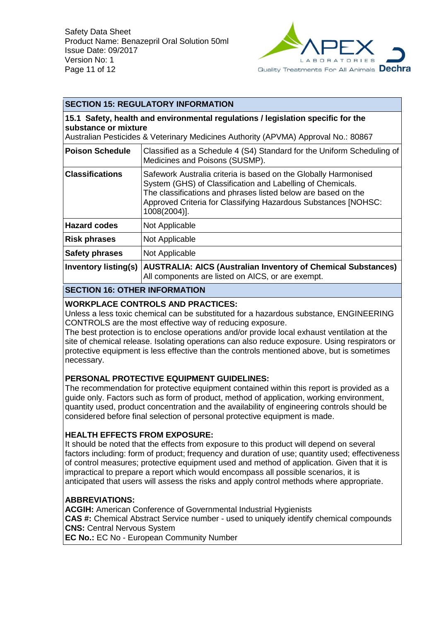

## **SECTION 15: REGULATORY INFORMATION**

**15.1 Safety, health and environmental regulations / legislation specific for the substance or mixture**

Australian Pesticides & Veterinary Medicines Authority (APVMA) Approval No.: 80867

| <b>Poison Schedule</b>      | Classified as a Schedule 4 (S4) Standard for the Uniform Scheduling of<br>Medicines and Poisons (SUSMP).                                                                                                                                                                         |
|-----------------------------|----------------------------------------------------------------------------------------------------------------------------------------------------------------------------------------------------------------------------------------------------------------------------------|
| <b>Classifications</b>      | Safework Australia criteria is based on the Globally Harmonised<br>System (GHS) of Classification and Labelling of Chemicals.<br>The classifications and phrases listed below are based on the<br>Approved Criteria for Classifying Hazardous Substances [NOHSC:<br>1008(2004)]. |
| <b>Hazard codes</b>         | Not Applicable                                                                                                                                                                                                                                                                   |
| <b>Risk phrases</b>         | Not Applicable                                                                                                                                                                                                                                                                   |
| <b>Safety phrases</b>       | Not Applicable                                                                                                                                                                                                                                                                   |
| <b>Inventory listing(s)</b> | <b>AUSTRALIA: AICS (Australian Inventory of Chemical Substances)</b><br>All components are listed on AICS, or are exempt.                                                                                                                                                        |

## **SECTION 16: OTHER INFORMATION**

### **WORKPLACE CONTROLS AND PRACTICES:**

Unless a less toxic chemical can be substituted for a hazardous substance, ENGINEERING CONTROLS are the most effective way of reducing exposure.

The best protection is to enclose operations and/or provide local exhaust ventilation at the site of chemical release. Isolating operations can also reduce exposure. Using respirators or protective equipment is less effective than the controls mentioned above, but is sometimes necessary.

### **PERSONAL PROTECTIVE EQUIPMENT GUIDELINES:**

The recommendation for protective equipment contained within this report is provided as a guide only. Factors such as form of product, method of application, working environment, quantity used, product concentration and the availability of engineering controls should be considered before final selection of personal protective equipment is made.

### **HEALTH EFFECTS FROM EXPOSURE:**

It should be noted that the effects from exposure to this product will depend on several factors including: form of product; frequency and duration of use; quantity used; effectiveness of control measures; protective equipment used and method of application. Given that it is impractical to prepare a report which would encompass all possible scenarios, it is anticipated that users will assess the risks and apply control methods where appropriate.

### **ABBREVIATIONS:**

**ACGIH:** American Conference of Governmental Industrial Hygienists **CAS #:** Chemical Abstract Service number - used to uniquely identify chemical compounds **CNS:** Central Nervous System

**EC No.:** EC No - European Community Number